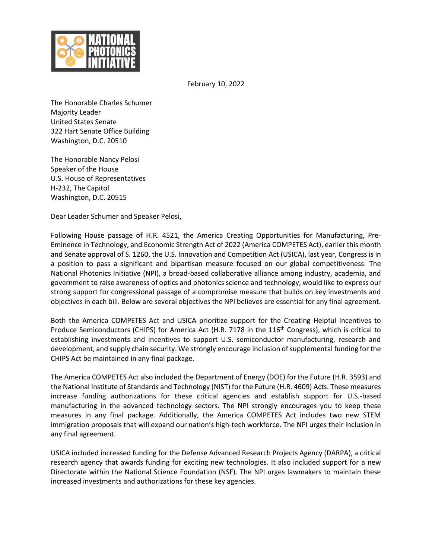

February 10, 2022

The Honorable Charles Schumer Majority Leader United States Senate 322 Hart Senate Office Building Washington, D.C. 20510

The Honorable Nancy Pelosi Speaker of the House U.S. House of Representatives H-232, The Capitol Washington, D.C. 20515

Dear Leader Schumer and Speaker Pelosi,

Following House passage of H.R. 4521, the America Creating Opportunities for Manufacturing, Pre-Eminence in Technology, and Economic Strength Act of 2022 (America COMPETES Act), earlier this month and Senate approval of S. 1260, the U.S. Innovation and Competition Act (USICA), last year, Congress is in a position to pass a significant and bipartisan measure focused on our global competitiveness. The National Photonics Initiative (NPI), a broad-based collaborative alliance among industry, academia, and government to raise awareness of optics and photonics science and technology, would like to express our strong support for congressional passage of a compromise measure that builds on key investments and objectives in each bill. Below are several objectives the NPI believes are essential for any final agreement.

Both the America COMPETES Act and USICA prioritize support for the Creating Helpful Incentives to Produce Semiconductors (CHIPS) for America Act (H.R. 7178 in the 116<sup>th</sup> Congress), which is critical to establishing investments and incentives to support U.S. semiconductor manufacturing, research and development, and supply chain security. We strongly encourage inclusion of supplemental funding for the CHIPS Act be maintained in any final package.

The America COMPETES Act also included the Department of Energy (DOE) for the Future (H.R. 3593) and the National Institute of Standards and Technology (NIST) for the Future (H.R. 4609) Acts. These measures increase funding authorizations for these critical agencies and establish support for U.S.-based manufacturing in the advanced technology sectors. The NPI strongly encourages you to keep these measures in any final package. Additionally, the America COMPETES Act includes two new STEM immigration proposals that will expand our nation's high-tech workforce. The NPI urges their inclusion in any final agreement.

USICA included increased funding for the Defense Advanced Research Projects Agency (DARPA), a critical research agency that awards funding for exciting new technologies. It also included support for a new Directorate within the National Science Foundation (NSF). The NPI urges lawmakers to maintain these increased investments and authorizations for these key agencies.